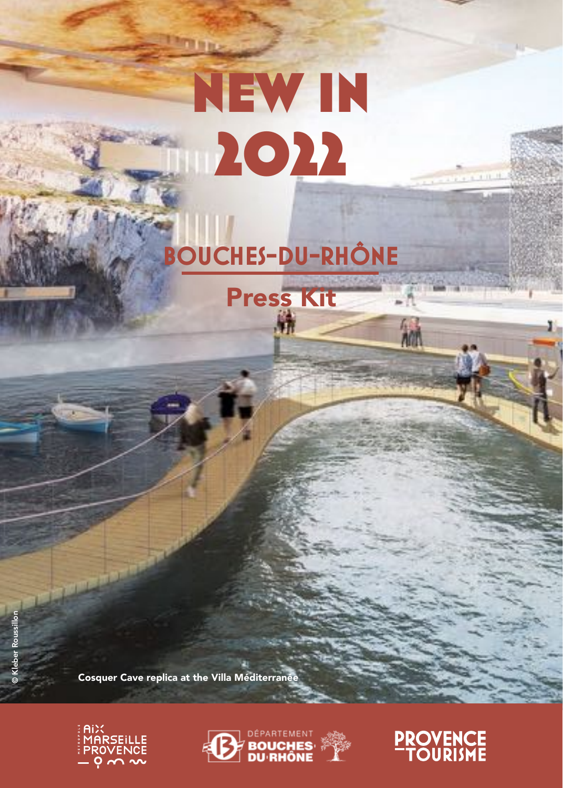# New in 2022

**Th** for an

## **BOUCHES-DU-RHÔNE**

Press Kit

© Kleber Roussillon

Cosquer Cave replica at the Villa Méditerranée







 $3.11 - 1$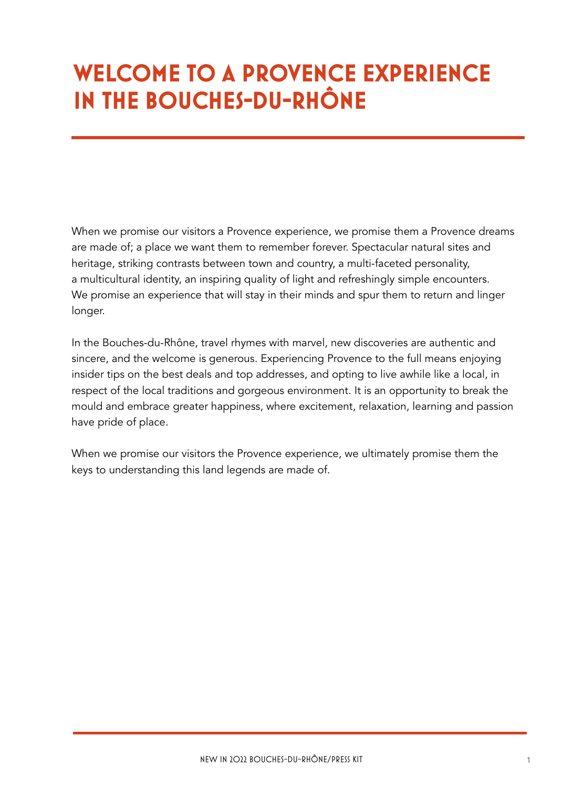## **WELCOME TO A PROVENCE EXPERIENCE IN THE BOUCHES-DU-RHÔNE**

When we promise our visitors a Provence experience, we promise them a Provence dreams are made of; a place we want them to remember forever. Spectacular natural sites and heritage, striking contrasts between town and country, a multi-faceted personality, a multicultural identity, an inspiring quality of light and refreshingly simple encounters. We promise an experience that will stay in their minds and spur them to return and linger longer.

In the Bouches-du-Rhône, travel rhymes with marvel, new discoveries are authentic and sincere, and the welcome is generous. Experiencing Provence to the full means enjoying insider tips on the best deals and top addresses, and opting to live awhile like a local, in respect of the local traditions and gorgeous environment. It is an opportunity to break the mould and embrace greater happiness, where excitement, relaxation, learning and passion have pride of place.

When we promise our visitors the Provence experience, we ultimately promise them the keys to understanding this land legends are made of.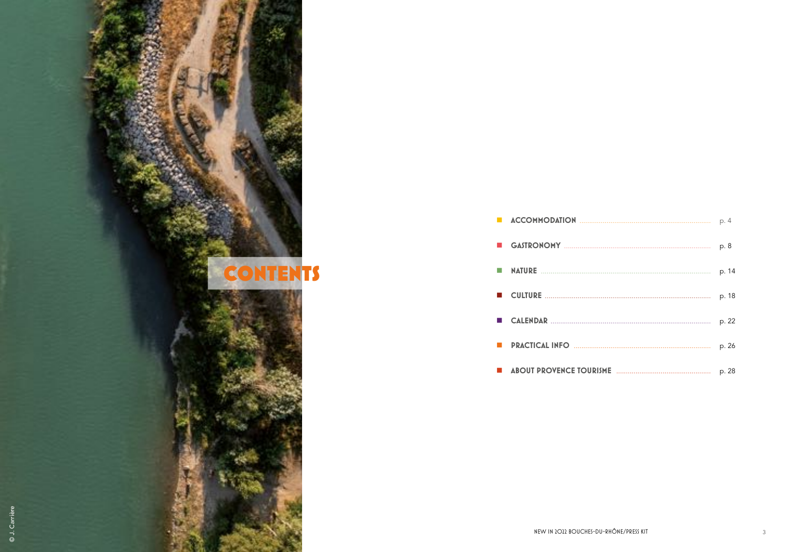



NEW IN 2022 BOUCHES-DU-RHÔNE/PRESS KIT

| p. 4  |
|-------|
| p. 8  |
| p. 14 |
| p. 18 |
| p. 22 |
| p. 26 |
| p. 28 |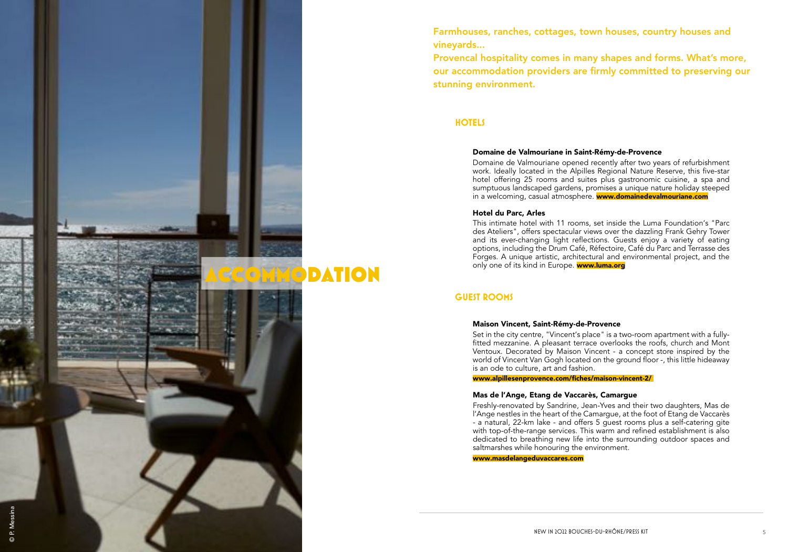Farmhouses, ranches, cottages, town houses, country houses and vineyards...

> Domaine de Valmouriane opened recently after two years of refurbishment work. Ideally located in the Alpilles Regional Nature Reserve, this five-star hotel offering 25 rooms and suites plus gastronomic cuisine, a spa and sumptuous landscaped gardens, promises a unique nature holiday steeped in a welcoming, casual atmosphere. **www.domainedevalmouriane.com**

Provencal hospitality comes in many shapes and forms. What's more, our accommodation providers are firmly committed to preserving our stunning environment.

#### Domaine de Valmouriane in Saint-Rémy-de-Provence

This intimate hotel with 11 rooms, set inside the Luma Foundation's "Parc des Ateliers", offers spectacular views over the dazzling Frank Gehry Tower and its ever-changing light reflections. Guests enjoy a variety of eating options, including the Drum Café, Réfectoire, Café du Parc and Terrasse des Forges. A unique artistic, architectural and environmental project, and the only one of its kind in Europe. www.luma.org

#### Hotel du Parc, Arles

Freshly-renovated by Sandrine, Jean-Yves and their two daughters, Mas de l'Ange nestles in the heart of the Camargue, at the foot of Etang de Vaccarès - a natural, 22-km lake - and offers 5 guest rooms plus a self-catering gite with top-of-the-range services. This warm and refined establishment is also dedicated to breathing new life into the surrounding outdoor spaces and

## **HOTELS**

## **GUEST ROOMS**

### Maison Vincent, Saint-Rémy-de-Provence

Set in the city centre, "Vincent's place" is a two-room apartment with a fullyfitted mezzanine. A pleasant terrace overlooks the roofs, church and Mont Ventoux. Decorated by Maison Vincent - a concept store inspired by the world of Vincent Van Gogh located on the ground floor -, this little hideaway is an ode to culture, art and fashion.

[www.alpillesenprovence.com/fiches/maison-vincent-2/](https://www.alpillesenprovence.com/fiches/maison-vincent-2/) 



### Mas de l'Ange, Etang de Vaccarès, Camargue

saltmarshes while honouring the environment.

[www.masdelangeduvaccares.com](http://www.masdelangeduvaccares.com)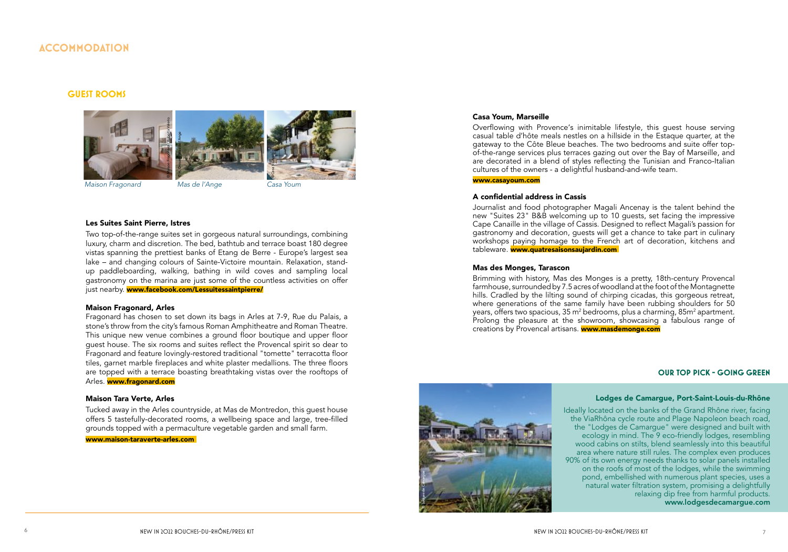## **ACCOMMODATION**

#### **OUR TOP PICK - GOING GREEN**

#### Lodges de Camargue, Port-Saint-Louis-du-Rhône

Two top-of-the-range suites set in gorgeous natural surroundings, combining luxury, charm and discretion. The bed, bathtub and terrace boast 180 degree vistas spanning the prettiest banks of Etang de Berre - Europe's largest sea lake – and changing colours of Sainte-Victoire mountain. Relaxation, standup paddleboarding, walking, bathing in wild coves and sampling local gastronomy on the marina are just some of the countless activities on offer just nearby. [www.](http://www.lessuitessaintpierre.ellohaweb.com)facebook.com/Lessuitessaintpierre/

> Ideally located on the banks of the Grand Rhône river, facing the ViaRhôna cycle route and Plage Napoleon beach road, the "Lodges de Camargue" were designed and built with ecology in mind. The 9 eco-friendly lodges, resembling wood cabins on stilts, blend seamlessly into this beautiful area where nature still rules. The complex even produces 90% of its own energy needs thanks to solar panels installed on the roofs of most of the lodges, while the swimming pond, embellished with numerous plant species, uses a natural water filtration system, promising a delightfully relaxing dip free from harmful products. www.lodgesdecamargue.com

#### **GUEST ROOMS**

#### Les Suites Saint Pierre, Istres

Tucked away in the Arles countryside, at Mas de Montredon, this guest house offers 5 tastefully-decorated rooms, a wellbeing space and large, tree-filled grounds topped with a permaculture vegetable garden and small farm.

Overflowing with Provence's inimitable lifestyle, this guest house serving casual table d 'hôte meals nestles on a hillside in the Estaque quarter, at the gateway to the Côte Bleue beaches. The two bedrooms and suite offer top of-the-range services plus terraces gazing out over the Bay of Marseille, and are decorated in a blend of styles reflecting the Tunisian and Franco-Italian cultures of the owners - a delightful husband-and-wife team.

#### Maison Fragonard, Arles

Fragonard has chosen to set down its bags in Arles at 7-9, Rue du Palais, a stone's throw from the city's famous Roman Amphitheatre and Roman Theatre. This unique new venue combines a ground floor boutique and upper floor guest house. The six rooms and suites reflect the Provencal spirit so dear to Fragonard and feature lovingly-restored traditional "tomette" terracotta floor tiles, garnet marble fireplaces and white plaster medallions. The three floors are topped with a terrace boasting breathtaking vistas over the rooftops of Arles. www.fragonard.com

#### Maison Tara Verte, Arles

www.maison-taraverte-arles.com

#### Casa Youm, Marseille

#### [www.casayoum.com](http://www.casayoum.com)

#### A confidential address in Cassis

Journalist and food photographer Magali Ancenay is the talent behind the new "Suites 23" B&B welcoming up to 10 guests, set facing the impressive Cape Canaille in the village of Cassis. Designed to reflect Magali's passion for gastronomy and decoration, guests will get a chance to take part in culinary workshops paying homage to the French art of decoration, kitchens and tableware. www.quatresaisonsaujardin.com

#### Mas des Monges, Tarascon







© Lodges de Camargue

Brimming with history, Mas des Monges is a pretty, 18th-century Provencal  $farmhouse, surrounded by 7.5 acres of woodland at the foot of the Montaanette$ hills. Cradled by the lilting sound of chirping cicadas, this gorgeous retreat, where generations of the same family have been rubbing shoulders for 50 years, offers two spacious, 35 m² bedrooms, plus a charming, 85m² apartment. Prolong the pleasure at the showroom, showcasing a fabulous range of creations by Provencal artisans. **www.masdemonge.com**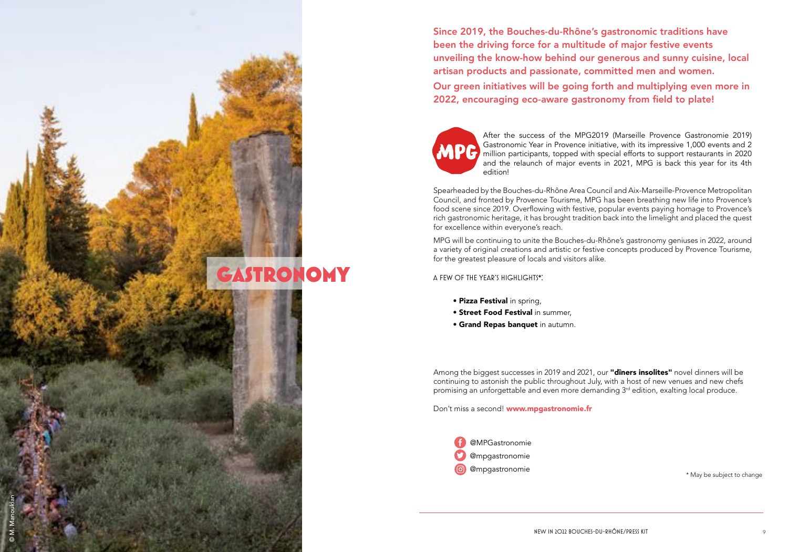A FEW OF THE YEAR'S HIGHLIGHTS\*:

- Pizza Festival in spring,
- Street Food Festival in summer,
- Grand Repas banquet in autumn.

Among the biggest successes in 2019 and 2021, our "diners insolites" novel dinners will be continuing to astonish the public throughout July, with a host of new venues and new chefs promising an unforgettable and even more demanding  $3<sup>rd</sup>$  edition, exalting local produce.

GASTRONOMY

Gastronomic Year in Provence initiative, with its impressive 1,000 events and 2 million participants, topped with special efforts to support restaurants in 2020 and the relaunch of major events in 2021, MPG is back this year for its 4th After the success of the MPG2019 (Marseille Provence Gastronomie 2019) edition!





MPG will be continuing to unite the Bouches-du-Rhône's gastronomy geniuses in 2022, around a variety of original creations and artistic or festive concepts produced by Provence Tourisme, for the greatest pleasure of locals and visitors alike.

Spearheaded by the Bouches-du-Rhône Area Council and Aix-Marseille-Provence Metropolitan Council, and fronted by Provence Tourisme, MPG has been breathing new life into Provence's food scene since 2019. Overflowing with festive, popular events paying homage to Provence's rich gastronomic heritage, it has brought tradition back into the limelight and placed the quest for excellence within everyone's reach.

Don't miss a second! www.mpgastronomie.fr

\* May be subject to change



NEW IN 2022 BOUCHES-DU-RHÔNE/PRESS KIT

© M. Manoukian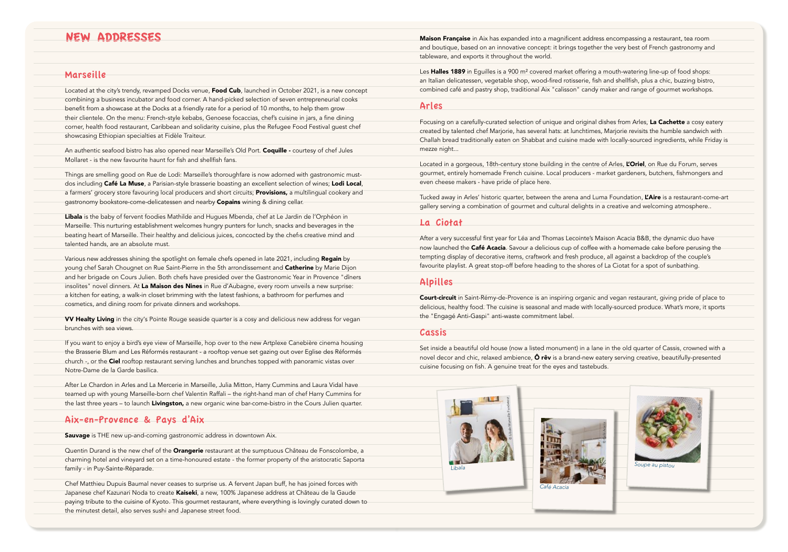## **NEW ADDRESSES**

#### Marseille

Located at the city's trendy, revamped Docks venue, Food Cub, launched in October 2021, is a new concept combining a business incubator and food corner. A hand-picked selection of seven entrepreneurial cooks benefit from a showcase at the Docks at a friendly rate for a period of 10 months, to help them grow their clientele. On the menu: French-style kebabs, Genoese focaccias, chef's cuisine in jars, a fine dining corner, health food restaurant, Caribbean and solidarity cuisine, plus the Refugee Food Festival quest chef showcasing Ethiopian specialties at Fidèle Traiteur.

An authentic seafood bistro has also opened near Marseille's Old Port. Coquille - courtesy of chef Jules Mollaret - is the new favourite haunt for fish and shellfish fans.

Things are smelling good on Rue de Lodi: Marseille's thoroughfare is now adorned with gastronomic mustdos including Café La Muse, a Parisian-style brasserie boasting an excellent selection of wines; Lodi Local, a farmers' grocery store favouring local producers and short circuits; Provisions, a multilingual cookery and gastronomy bookstore-come-delicatessen and nearby Copains wining & dining cellar.

Libala is the baby of fervent foodies Mathilde and Hugues Mbenda, chef at Le Jardin de l'Orphéon in Marseille. This nurturing establishment welcomes hungry punters for lunch, snacks and beverages in the beating heart of Marseille. Their healthy and delicious juices, concocted by the chef is creative mind and talented hands, are an absolute must.

Various new addresses shining the spotlight on female chefs opened in late 2021, including Regain by young chef Sarah Chougnet on Rue Saint-Pierre in the 5th arrondissement and Catherine by Marie Dijon and her brigade on Cours Julien. Both chefs have presided over the Gastronomic Year in Provence "dîners insolites" novel dinners. At La Maison des Nines in Rue d'Aubagne, every room unveils a new surprise: a kitchen for eating, a walk-in closet brimming with the latest fashions, a bathroom for perfumes and cosmetics, and dining room for private dinners and workshops.

VV Healty Living in the city's Pointe Rouge seaside quarter is a cosy and delicious new address for vegan brunches with sea views.

If you want to enjoy a bird's eye view of Marseille, hop over to the new Artplexe Canebière cinema housing the Brasserie Blum and Les Réformés restaurant - a rooftop venue set gazing out over Eglise des Réformés church -, or the Ciel rooftop restaurant serving lunches and brunches topped with panoramic vistas over Notre-Dame de la Garde basilica.

After Le Chardon in Arles and La Mercerie in Marseille, Julia Mitton, Harry Cummins and Laura Vidal have teamed up with young Marseille-born chef Valentin Raffali - the right-hand man of chef Harry Cummins for the last three years - to launch Livingston, a new organic wine bar-come-bistro in the Cours Julien quarter.

#### Aix-en-Provence & Pays d'Aix

Sauvage is THE new up-and-coming gastronomic address in downtown Aix.

Quentin Durand is the new chef of the Orangerie restaurant at the sumptuous Château de Fonscolombe, a charming hotel and vineyard set on a time-honoured estate - the former property of the aristocratic Saporta family - in Puy-Sainte-Réparade.

Chef Matthieu Dupuis Baumal never ceases to surprise us. A fervent Japan buff, he has joined forces with Japanese chef Kazunari Noda to create Kaiseki, a new, 100% Japanese address at Château de la Gaude paying tribute to the cuisine of Kyoto. This gourmet restaurant, where everything is lovingly curated down to the minutest detail, also serves sushi and Japanese street food.

Maison Française in Aix has expanded into a magnificent address encom and boutique, based on an innovative concept: it brings together the ver tableware, and exports it throughout the world.

Les Halles 1889 in Equilles is a 900 m<sup>2</sup> covered market offering a mouthan Italian delicatessen, vegetable shop, wood-fired rotisserie, fish and she combined café and pastry shop, traditional Aix "calisson" candy maker ar

#### Arles

Focusing on a carefully-curated selection of unique and original dishes fro created by talented chef Marjorie, has several hats: at lunchtimes, Marjor Challah bread traditionally eaten on Shabbat and cuisine made with local mezze night...

Located in a gorgeous, 18th-century stone building in the centre of Arles gourmet, entirely homemade French cuisine. Local producers - market ga even cheese makers - have pride of place here.

Tucked away in Arles' historic quarter, between the arena and Luma Foun gallery serving a combination of gourmet and cultural delights in a creativ

#### La Ciotat

After a very successful first year for Léa and Thomas Lecointe's Maison Ac now launched the Café Acacia. Savour a delicious cup of coffee with a ho tempting display of decorative items, craftwork and fresh produce, all aga favourite playlist. A great stop-off before heading to the shores of La Ciot

### **Alpilles**

Court-circuit in Saint-Rémy-de-Provence is an inspiring organic and vegal delicious, healthy food. The cuisine is seasonal and made with locally-sou the "Engagé Anti-Gaspi" anti-waste commitment label

#### Cassis

Set inside a beautiful old house (now a listed monument) in a lane in the novel decor and chic, relaxed ambience,  $\hat{O}$  rêv is a brand-new eatery ser cuisine focusing on fish. A genuine treat for the eyes and tastebuds.





| passing a restaurant, tea room             |
|--------------------------------------------|
|                                            |
| y best of French gastronomy and            |
|                                            |
|                                            |
| watering line-up of food shops:            |
|                                            |
| ellfish, plus a chic, buzzing bistro,      |
| nd range of gourmet workshops.             |
|                                            |
|                                            |
|                                            |
|                                            |
|                                            |
| om Arles, <b>La Cachette</b> a cosy eatery |
| ie revisits the humble sandwich with       |
|                                            |
| ly-sourced ingredients, while Friday is    |
|                                            |
|                                            |
| , L'Oriel, on Rue du Forum, serves         |
|                                            |
| ardeners, butchers, fishmongers and        |
|                                            |
|                                            |
| dation, L'Aire is a restaurant-come-art    |
|                                            |
| ve and welcoming atmosphere                |
|                                            |
|                                            |
|                                            |
|                                            |
| acia B&B, the dynamic duo have:            |
| omemade cake before perusing the           |
|                                            |
| ainst a backdrop of the couple's           |
|                                            |
|                                            |
| tat for a spot of sunbathing.              |
|                                            |
|                                            |
|                                            |
|                                            |
| n restaurant, giving pride of place to     |
| rced produce. What's more, it sports       |
|                                            |
|                                            |
|                                            |
|                                            |
|                                            |
|                                            |
| old quarter of Cassis, crowned with a      |
| ving creative, beautifully-presented       |
|                                            |
|                                            |
|                                            |
|                                            |
|                                            |
|                                            |
|                                            |
|                                            |
|                                            |
|                                            |
|                                            |
|                                            |
|                                            |
|                                            |
|                                            |
|                                            |
| Soupe au pistou                            |
|                                            |
|                                            |
|                                            |
|                                            |
|                                            |
|                                            |
|                                            |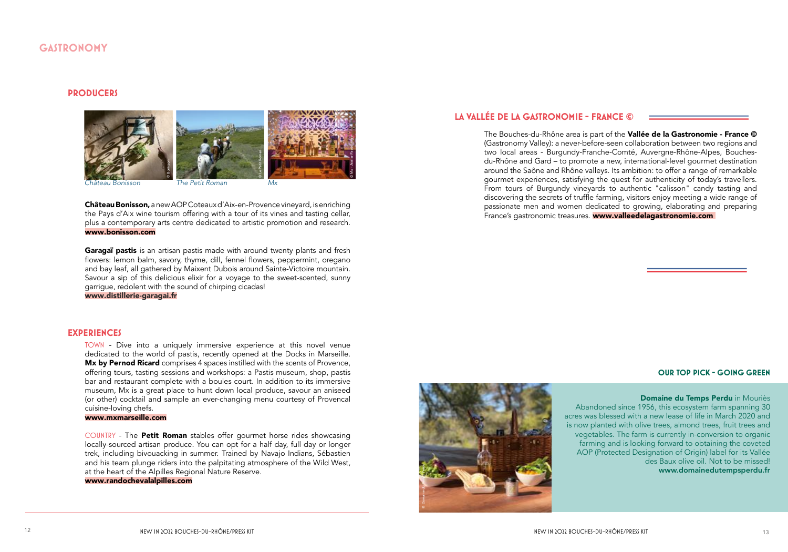## **GASTRONOMY**

#### **PRODUCERS**



lâteau Bonisson.

The Petit Roman

Château Bonisson, a new AOP Coteaux d'Aix-en-Provence vineyard, is enriching the Pays d'Aix wine tourism offering with a tour of its vines and tasting cellar, plus a contemporary arts centre dedicated to artistic promotion and research. www.bonisson.com

Garagaï pastis is an artisan pastis made with around twenty plants and fresh flowers: lemon balm, savory, thyme, dill, fennel flowers, peppermint, oregano and bay leaf, all gathered by Maixent Dubois around Sainte-Victoire mountain. Savour a sip of this delicious elixir for a voyage to the sweet-scented, sunny garrique, redolent with the sound of chirping cicadas!

#### www.distillerie-garagai.fr

#### **EXPERIENCES**

TOWN - Dive into a uniquely immersive experience at this novel venue dedicated to the world of pastis, recently opened at the Docks in Marseille. Mx by Pernod Ricard comprises 4 spaces instilled with the scents of Provence, offering tours, tasting sessions and workshops: a Pastis museum, shop, pastis bar and restaurant complete with a boules court. In addition to its immersive museum, Mx is a great place to hunt down local produce, savour an aniseed (or other) cocktail and sample an ever-changing menu courtesy of Provencal cuisine-loving chefs.

#### www.mxmarseille.com

COUNTRY - The Petit Roman stables offer gourmet horse rides showcasing locally-sourced artisan produce. You can opt for a half day, full day or longer trek, including bivouacking in summer. Trained by Navajo Indians, Sébastien and his team plunge riders into the palpitating atmosphere of the Wild West, at the heart of the Alpilles Regional Nature Reserve.

#### www.randochevalalpilles.com

## LA VALLÉE DE LA GASTRONOMIE - FRANCE ©

The Bouches-du-Rhône area is part of the Vallée de la Gastronomie - France © (Gastronomy Valley): a never-before-seen collaboration between two regions and two local areas - Burgundy-Franche-Comté, Auvergne-Rhône-Alpes, Bouchesdu-Rhône and Gard – to promote a new, international-level gourmet destination around the Saône and Rhône valleys. Its ambition: to offer a range of remarkable gourmet experiences, satisfying the quest for authenticity of today's travellers. From tours of Burgundy vineyards to authentic "calisson" candy tasting and discovering the secrets of truffle farming, visitors enjoy meeting a wide range of passionate men and women dedicated to growing, elaborating and preparing France's gastronomic treasures. **www.valleedelagastronomie.com** 



Domaine du Temps Perdu in Mouriès Abandoned since 1956, this ecosystem farm spanning 30 acres was blessed with a new lease of life in March 2020 and is now planted with olive trees, almond trees, fruit trees and vegetables. The farm is currently in-conversion to organic farming and is looking forward to obtaining the coveted AOP (Protected Designation of Origin) label for its Vallée des Baux olive oil. Not to be missed! www.domainedutempsperdu.fr

#### **OUR TOP PICK - GOING GREEN**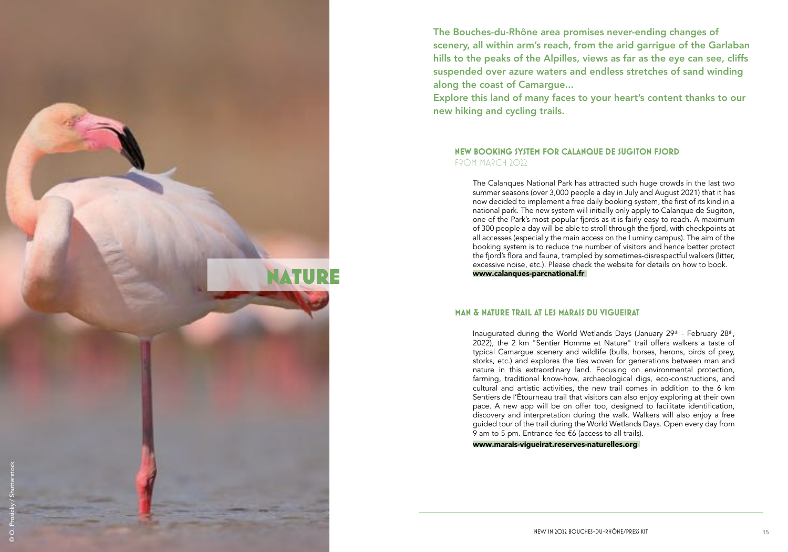The Bouches-du-Rhône area promises never-ending changes of scenery, all within arm's reach, from the arid garrigue of the Garlaban hills to the peaks of the Alpilles, views as far as the eye can see, cliffs suspended over azure waters and endless stretches of sand winding along the coast of Camargue... Explore this land of many faces to your heart's content thanks to our new hiking and cycling trails.

The Calanques National Park has attracted such huge crowds in the last two summer seasons (over 3,000 people a day in July and August 2021) that it has now decided to implement a free daily booking system, the first of its kind in a national park. The new system will initially only apply to Calanque de Sugiton, one of the Park's most popular fjords as it is fairly easy to reach. A maximum of 300 people a day will be able to stroll through the fjord, with checkpoints at all accesses (especially the main access on the Luminy campus). The aim of the booking system is to reduce the number of visitors and hence better protect the fjord's flora and fauna, trampled by sometimes-disrespectful walkers (litter, excessive noise, etc.). Please check the website for details on how to book. www.calanques-parcnational.fr

### **NEW BOOKING SYSTEM FOR CALANQUE DE SUGITON FJORD** FROM MARCH 2022

www.marais-vigueirat.reserves-naturelles.org

### **Man & Nature trail at Les Marais du Vigueirat**

**IATURE** 

Inaugurated during the World Wetlands Days (January 29<sup>th</sup> - February 28<sup>th</sup>, 2022), the 2 km "Sentier Homme et Nature" trail offers walkers a taste of typical Camargue scenery and wildlife (bulls, horses, herons, birds of prey, storks, etc.) and explores the ties woven for generations between man and nature in this extraordinary land. Focusing on environmental protection, farming, traditional know-how, archaeological digs, eco-constructions, and cultural and artistic activities, the new trail comes in addition to the 6 km Sentiers de l'Étourneau trail that visitors can also enjoy exploring at their own pace. A new app will be on offer too, designed to facilitate identification, discovery and interpretation during the walk. Walkers will also enjoy a free guided tour of the trail during the World Wetlands Days. Open every day from 9 am to 5 pm. Entrance fee €6 (access to all trails).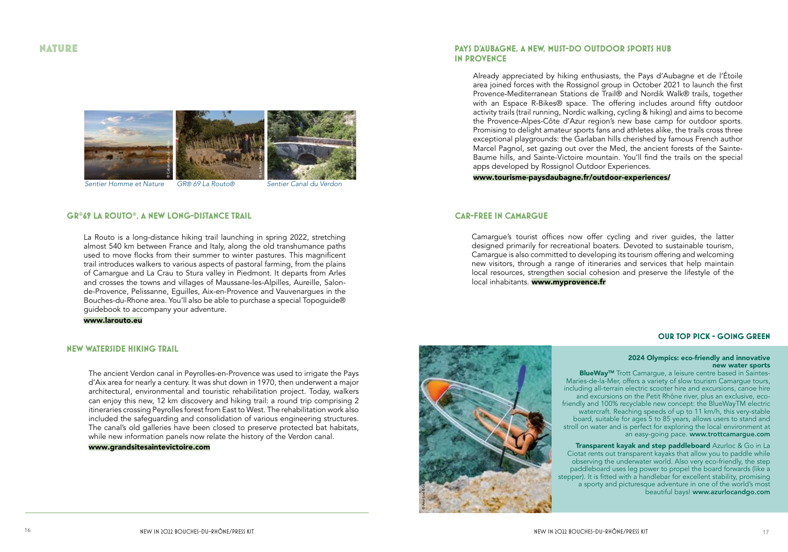## **NATURE**



#### **GR®69 LA ROUTO®. A NEW LONG-DISTANCE TRAIL**

La Routo is a long-distance hiking trail launching in spring 2022, stretching almost 540 km between France and Italy, along the old transhumance paths used to move flocks from their summer to winter pastures. This magnificent trail introduces walkers to various aspects of pastoral farming, from the plains of Camarque and La Crau to Stura valley in Piedmont. It departs from Arles and crosses the towns and villages of Maussane-les-Alpilles, Aureille, Salonde-Provence, Pelissanne, Equilles, Aix-en-Provence and Vauvenarques in the Bouches-du-Rhone area. You'll also be able to purchase a special Topoquide® quidebook to accompany your adventure.

www.larouto.eu

#### **NEW WATERSIDE HIKING TRAIL**

The ancient Verdon canal in Peyrolles-en-Provence was used to irrigate the Pays d'Aix area for nearly a century. It was shut down in 1970, then underwent a major architectural, environmental and touristic rehabilitation project. Today, walkers can enjoy this new, 12 km discovery and hiking trail: a round trip comprising 2 itineraries crossing Peyrolles forest from East to West. The rehabilitation work also included the safequarding and consolidation of various engineering structures. The canal's old galleries have been closed to preserve protected bat habitats, while new information panels now relate the history of the Verdon canal.

#### www.grandsitesaintevictoire.com

#### **PAYS D'AUBAGNE, A NEW, MUST-DO OUTDOOR SPORTS HUB IN PROVENCE**

Already appreciated by hiking enthusiasts, the Pays d'Aubagne et de l'Étoile area joined forces with the Rossignol group in October 2021 to launch the first Provence-Mediterranean Stations de Trail® and Nordik Walk® trails, together with an Espace R-Bikes® space. The offering includes around fifty outdoor activity trails (trail running, Nordic walking, cycling & hiking) and aims to become the Provence-Alpes-Côte d'Azur region's new base camp for outdoor sports. Promising to delight amateur sports fans and athletes alike, the trails cross three exceptional playgrounds: the Garlaban hills cherished by famous French author Marcel Pagnol, set gazing out over the Med, the ancient forests of the Sainte-Baume hills, and Sainte-Victoire mountain. You'll find the trails on the special apps developed by Rossignol Outdoor Experiences. www.tourisme-paysdaubagne.fr/outdoor-experiences/

#### **CAR-FREE IN CAMARGUE**

Camarque's tourist offices now offer cycling and river quides, the latter designed primarily for recreational boaters. Devoted to sustainable tourism, Camarque is also committed to developing its tourism offering and welcoming new visitors, through a range of itineraries and services that help maintain local resources, strengthen social cohesion and preserve the lifestyle of the local inhabitants. www.myprovence.fr



Transparent kayak and step paddleboard Azurloc & Go in La a sporty and picturesque adventure in one of the world's most beautiful bays! www.azurlocandgo.com

Ciotat rents out transparent kayaks that allow you to paddle while observing the underwater world. Also very eco-friendly, the step paddleboard uses leg power to propel the board forwards (like a stepper). It is fitted with a handlebar for excellent stability, promising

#### **OUR TOP PICK - GOING GREEN**

#### 2024 Olympics: eco-friendly and innovative new water sports

BlueWay<sup>™</sup> Trott Camarque, a leisure centre based in Saintes-Maries-de-la-Mer, offers a variety of slow tourism Camargue tours, including all-terrain electric scooter hire and excursions, canoe hire and excursions on the Petit Rhône river, plus an exclusive, ecofriendly and 100% recyclable new concept: the BlueWayTM electric watercraft. Reaching speeds of up to 11 km/h, this very-stable board, suitable for ages 5 to 85 years, allows users to stand and stroll on water and is perfect for exploring the local environment at an easy-going pace. www.trottcamargue.com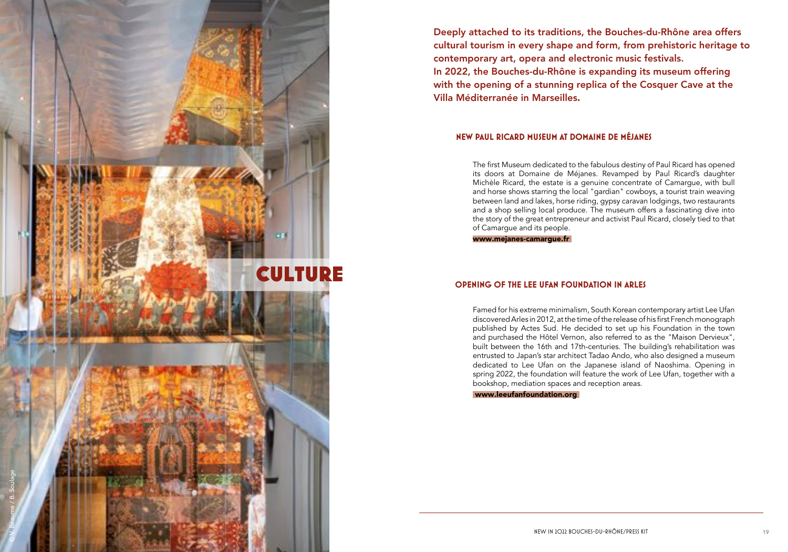Deeply attached to its traditions, the Bouches-du-Rhône area offers cultural tourism in every shape and form, from prehistoric heritage to contemporary art, opera and electronic music festivals. In 2022, the Bouches-du-Rhône is expanding its museum offering with the opening of a stunning replica of the Cosquer Cave at the Villa Méditerranée in Marseilles.

> The first Museum dedicated to the fabulous destiny of Paul Ricard has opened its doors at Domaine de Méjanes. Revamped by Paul Ricard's daughter Michèle Ricard, the estate is a genuine concentrate of Camargue, with bull and horse shows starring the local "gardian" cowboys, a tourist train weaving between land and lakes, horse riding, gypsy caravan lodgings, two restaurants and a shop selling local produce. The museum offers a fascinating dive into the story of the great entrepreneur and activist Paul Ricard, closely tied to that of Camargue and its people.



www.mejanes-camargue.fr

### **New Paul Ricard Museum at Domaine de Méjanes**

Famed for his extreme minimalism, South Korean contemporary artist Lee Ufan discovered Arles in 2012, at the time of the release of his first French monograph published by Actes Sud. He decided to set up his Foundation in the town and purchased the Hôtel Vernon, also referred to as the "Maison Dervieux", built between the 16th and 17th-centuries. The building's rehabilitation was entrusted to Japan's star architect Tadao Ando, who also designed a museum dedicated to Lee Ufan on the Japanese island of Naoshima. Opening in spring 2022, the foundation will feature the work of Lee Ufan, together with a bookshop, mediation spaces and reception areas.

www.leeufanfoundation.org

## **OPENING OF THE LEE UFAN FOUNDATION IN ARLES**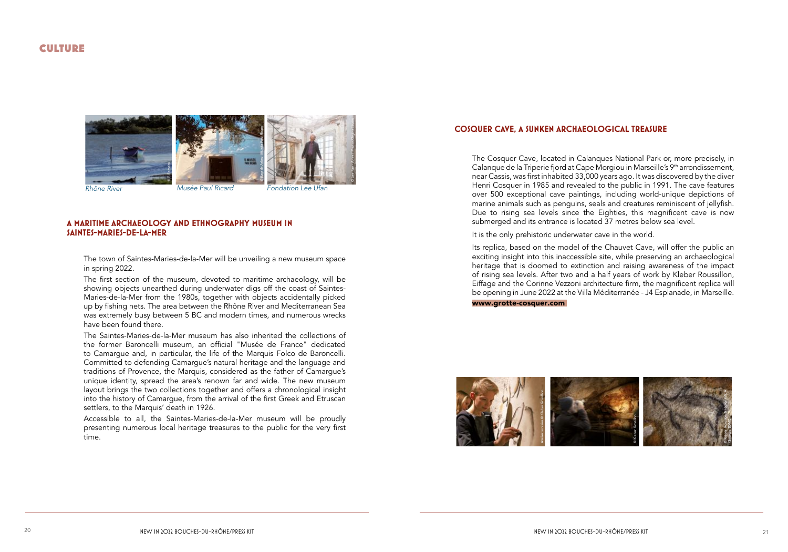## **CULTURE**



Rhône River

Musée Paul Ricard

**Fondation Lee Ufan** 

#### A MARITIME ARCHAEOLOGY AND ETHNOGRAPHY MUSEUM IN SAINTES-MARIES-DE-LA-MER

The town of Saintes-Maries-de-la-Mer will be unveiling a new museum space in spring 2022.

The first section of the museum, devoted to maritime archaeology, will be showing objects unearthed during underwater digs off the coast of Saintes-Maries-de-la-Mer from the 1980s, together with objects accidentally picked up by fishing nets. The area between the Rhône River and Mediterranean Sea was extremely busy between 5 BC and modern times, and numerous wrecks have been found there.

The Saintes-Maries-de-la-Mer museum has also inherited the collections of the former Baroncelli museum, an official "Musée de France" dedicated to Camarque and, in particular, the life of the Marquis Folco de Baroncelli. Committed to defending Camargue's natural heritage and the language and traditions of Provence, the Marquis, considered as the father of Camargue's unique identity, spread the area's renown far and wide. The new museum layout brings the two collections together and offers a chronological insight into the history of Camargue, from the arrival of the first Greek and Etruscan settlers, to the Marquis' death in 1926.

Accessible to all, the Saintes-Maries-de-la-Mer museum will be proudly presenting numerous local heritage treasures to the public for the very first time.

#### **COSQUER CAVE, A SUNKEN ARCHAEOLOGICAL TREASURE**

The Cosquer Cave, located in Calanques National Park or, more precisely, in Calanque de la Triperie fjord at Cape Morgiou in Marseille's 9<sup>th</sup> arrondissement, near Cassis, was first inhabited 33,000 years ago. It was discovered by the diver Henri Cosquer in 1985 and revealed to the public in 1991. The cave features over 500 exceptional cave paintings, including world-unique depictions of marine animals such as penguins, seals and creatures reminiscent of jellyfish. Due to rising sea levels since the Eighties, this magnificent cave is now submerged and its entrance is located 37 metres below sea level.

It is the only prehistoric underwater cave in the world.

Its replica, based on the model of the Chauvet Cave, will offer the public an exciting insight into this inaccessible site, while preserving an archaeological heritage that is doomed to extinction and raising awareness of the impact of rising sea levels. After two and a half years of work by Kleber Roussillon, Eiffage and the Corinne Vezzoni architecture firm, the magnificent replica will be opening in June 2022 at the Villa Méditerranée - J4 Esplanade, in Marseille.

#### www.grotte-cosquer.com

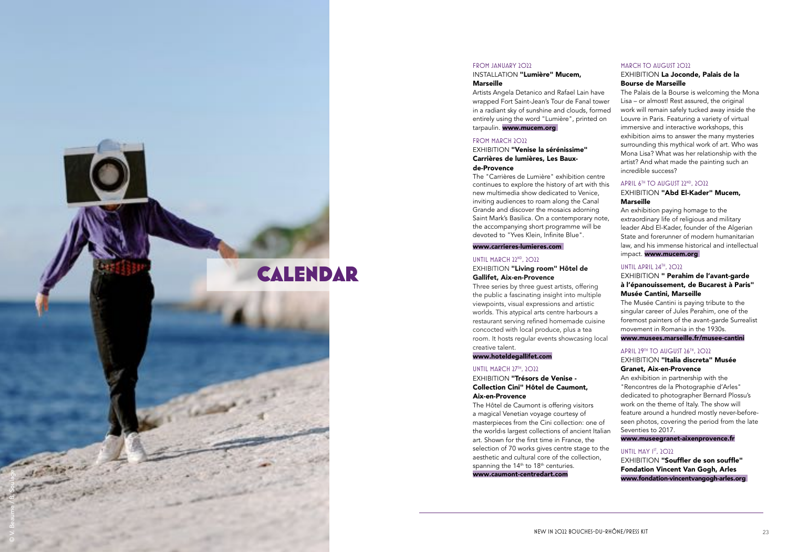#### INSTALLATION "Lumière" Mucem, **Marseille**

Artists Angela Detanico and Rafael Lain have wrapped Fort Saint-Jean 's Tour de Fanal tower in a radiant sky of sunshine and clouds, formed entirely using the word "Lumière", printed on tarpaulin. www.mucem.org

#### FROM MARCH 2022

#### FROM JANUARY 2022

#### EXHIBITION "Venise la sérénissime" Carrières de lumières, Les Bauxde-Provence

The "Carrières de Lumière" exhibition centre continues to explore the history of art with this new multimedia show dedicated to Venice, inviting audiences to roam along the Canal Grande and discover the mosaics adorning Saint Mark's Basilica. On a contemporary note, the accompanying short programme will be devoted to "Yves Klein, Infinite Blue".

#### EXHIBITION "Living room" Hôtel de Gallifet, Aix-en-Provence

#### EXHIBITION "Trésors de Venise -Collection Cini" Hôtel de Caumont, Aix-en-Provence

#### [www.carrieres-lumieres.com](http://www.carrieres-lumieres.com)

#### UNTIL MARCH 22ND, 2022

The Hôtel de Caumont is offering visitors a magical Venetian voyage courtesy of masterpieces from the Cini collection: one of the world>s largest collections of ancient Italian art. Shown for the first time in France, the selection of 70 works gives centre stage to the aesthetic and cultural core of the collection, spanning the 14<sup>th</sup> to 18<sup>th</sup> centuries. [www.caumont-centredart.com](http://www.caumont-centredart.com)

#### EXHIBITION La Joconde, Palais de la Bourse de Marseille

The Palais de la Bourse is welcoming the Mona Lisa – or almost! Rest assured, the original work will remain safely tucked away inside the Louvre in Paris. Featuring a variety of virtual immersive and interactive workshops, this exhibition aims to answer the many mysteries surrounding this mythical work of art. Who was Mona Lisa? What was her relationship with the artist? And what made the painting such an incredible success?

#### APRIL 6<sup>TH</sup> TO AUGUST 22<sup>ND</sup>, 2022

Three series by three guest artists, offering the public a fascinating insight into multiple viewpoints, visual expressions and artistic worlds. This atypical arts centre harbours a restaurant serving refined homemade cuisine concocted with local produce, plus a tea room. It hosts regular events showcasing local creative talent.

#### EXHIBITION "Abd El-Kader" Mucem, Marseille

#### www.hoteldegallifet.com

#### UNTIL MARCH 27TH, 2022

#### EXHIBITION " Perahim de l'avant-garde à l'épanouissement, de Bucarest à Paris" Musée Cantini, Marseille

The Musée Cantini is paying tribute to the singular career of Jules Perahim, one of the foremost painters of the avant-garde Surrealist movement in Romania in the 1930s.

#### EXHIBITION "Italia discreta" Musée Granet, Aix-en-Provence

EXHIBITION **"Souffler de son souffle"** Fondation Vincent Van Gogh, Arles [www.fondation-vincentvangogh-arles.org](http://www.fondation-vincentvangogh-arles.org)

#### MARCH TO AUGUST 2022



An exhibition paying homage to the extraordinary life of religious and military leader Abd El-Kader, founder of the Algerian State and forerunner of modern humanitarian law, and his immense historical and intellectual impact. [www.mucem.org](http://www.mucem.org)

#### UNTIL APRIL 24TH, 2022

#### [www.musees.marseille.fr/musee-cantini](http://www.musees.marseille.fr/musee-cantini)

#### APRIL 29TH TO AUGUST 26TH, 2022

An exhibition in partnership with the "Rencontres de la Photographie d'Arles" dedicated to photographer Bernard Plossu's work on the theme of Italy. The show will feature around a hundred mostly never-beforeseen photos, covering the period from the late Seventies to 2017.

[www.museegranet-aixenprovence.fr](http://www.museegranet-aixenprovence.fr)

#### UNTIL MAY  $1^{57}$ ,  $2^{20}$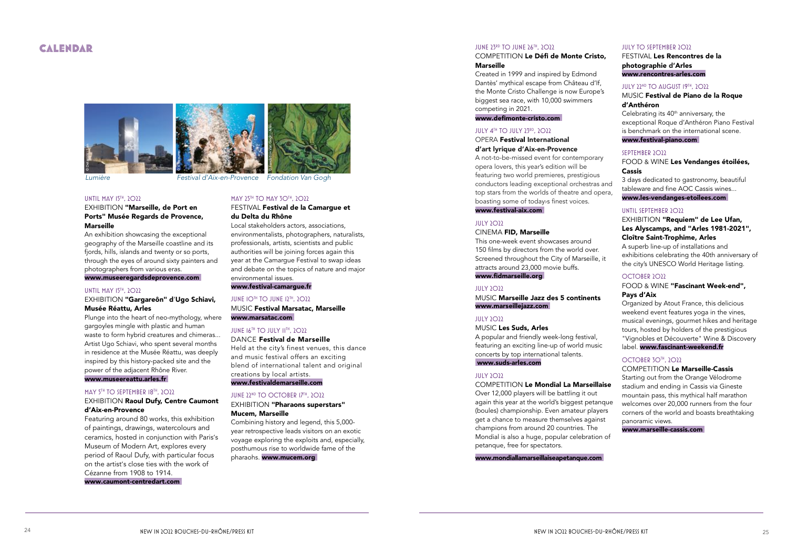## CALENDAR

Lumière Festival d'Aix-en-Provence Fondation Van Gogh

#### UNTIL MAY 15TH, 2022

#### EXHIBITION "Marseille, de Port en Ports" Musée Regards de Provence, **Marseille**

#### EXHIBITION **"Gargareôn" d'Ugo Schiavi,** Musée Réattu, Arles

An exhibition showcasing the exceptional geography of the Marseille coastline and its fjords, hills, islands and twenty or so ports, through the eyes of around sixty painters and photographers from various eras. [www.museeregardsdeprovence.com](http://www.museeregardsdeprovence.com)

#### EXHIBITION Raoul Dufy, Centre Caumont d'Aix-en-Provence

#### UNTIL MAY 15TH, 2022

Plunge into the heart of neo-mythology, where gargoyles mingle with plastic and human waste to form hybrid creatures and chimeras... Artist Ugo Schiavi, who spent several months in residence at the Musée Réattu, was deeply inspired by this history-packed site and the power of the adjacent Rhône River.

#### [www.museereattu.arles.fr](http://www.museereattu.arles.fr)

#### MAY 5TH TO SEPTEMBER 18TH, 2022

MUSIC **Festival Marsatac, Marseille** [www.marsatac.com](http://www.marsatac.com) 

#### JUNE 16TH TO JULY 11TH, 2022

Held at the city's finest venues, this dance and music festival offers an exciting blend of international talent and original creations by local artists. [www.festivaldemarseille.com](http://www.festivaldemarseille.com)

#### JUNE 22<sup>ND</sup> TO OCTOBER 17TH, 2022

EXHIBITION "Pharaons superstars" Mucem, Marseille

Featuring around 80 works, this exhibition of paintings, drawings, watercolours and ceramics, hosted in conjunction with Paris 's Museum of Modern Art, explores every period of Raoul Dufy, with particular focus on the artist 's close ties with the work of Cézanne from 1908 to 1914. [www.caumont-centredart.com](http://www.caumont-centredart.com)

#### MAY 25TH TO MAY 30TH, 2022

#### FESTIVAL Festival de la Camargue et du Delta du Rhône

This one-week event showcases around 150 films by directors from the world over. Screened throughout the City of Marseille, it attracts around 23,000 movie buffs . www.fidmarseille.org

#### JULY 2022

Local stakeholders actors, associations, environmentalists, photographers, naturalists, professionals, artists, scientists and public authorities will be joining forces again this year at the Camargue Festival to swap ideas and debate on the topics of nature and major environmental issues.

#### MUSIC **Marseille Jazz des 5 continents** [www.marseillejazz.com](http://www.marseillejazz.com)

#### JULY 2022

## MUSIC **Les Suds, Arles**

#### [www.festival-camargue.fr](http://www.indus3days.fr)

#### JUNE IOTH TO JUNE 12TH, 2022

## DANCE Festival de Marseille

#### MUSIC **Festival de Piano de la Roque** d'Anthéron

Celebrating its  $40<sup>th</sup>$  anniversary, the exceptional Roque d'Anthéron Piano Festival is benchmark on the international scene. [www.festival-piano.com](http://www.festival-piano.com)

Combining history and legend, this 5,000 year retrospective leads visitors on an exotic voyage exploring the exploits and, especially, posthumous rise to worldwide fame of the pharaohs. [www.mucem.org](http://www.mucem.org) 

#### JUNE 23RD TO JUNE 26TH, 2022

#### COMPETITION **Le Défi de Monte Cristo, Marseille**

#### EXHIBITION "Requiem" de Lee Ufan, Les Alyscamps, and "Arles 1981-2021", Cloître Saint-Trophime, Arles

A superb line-up of installations and exhibitions celebrating the 40th anniversary of the city's UNESCO World Heritage listing.

Created in 1999 and inspired by Edmond Dantès' mythical escape from Château d'If, the Monte Cristo Challenge is now Europe's biggest sea race, with 10,000 swimmers competing in 2021.

#### www.defimonte-cristo.com

#### JULY 4TH TO JULY 23RD, 2022

#### OPERA Festival International d'art lyrique d'Aix-en-Provence

A not-to-be-missed event for contemporary opera lovers, this year 's edition will be featuring two world premieres, prestigious conductors leading exceptional orchestras and top stars from the worlds of theatre and opera, boasting some of today›s finest voices. [www.festival-aix.com](http://www.festival-aix.com) 

#### JULY 2022

#### CINEMA **FID, Marseille**

A popular and friendly week-long festival, featuring an exciting line-up of world music concerts by top international talents. [www.suds-arles.com](http://www.suds-arles.com)

#### JULY 2022

#### COMPETITION **Le Mondial La Marseillaise**

Over 12,000 players will be battling it out again this year at the world's biggest petanque (boules) championship. Even amateur players get a chance to measure themselves against champions from around 20 countries. The Mondial is also a huge, popular celebration of petanque, free for spectators.

#### [www.mondiallamarseillaiseapetanque.com](http://www.mondiallamarseillaiseapetanque.com)

#### JULY TO SEPTEMBER 2022

#### FESTIVAL Les Rencontres de la photographie d'Arles [www.rencontres-arles.com](http://www.rencontres-arles.com)

#### JULY 22<sup>ND</sup> TO AUGUST 19TH, 2022

#### SEPTEMBER 2022

#### FOOD & WINE Les Vendanges étoilées, Cassis

3 days dedicated to gastronomy, beautiful tableware and fine AOC Cassis wines... [www.les-vendanges-etoilees.com](http://www.les-vendanges-etoilees.com) 

#### UNTIL SEPTEMBER 2022

#### OCTOBER 2022

#### FOOD & WINE "Fascinant Week-end", Pays d'Aix

Organized by Atout France, this delicious weekend event features yoga in the vines, musical evenings, gourmet hikes and heritage tours, hosted by holders of the prestigious "Vignobles et Découverte" Wine & Discovery label. [www.fascinant-weekend.fr](http://www.fascinant-weekend.fr)

#### OCTOBER 30TH, 2022

#### COMPETITION **Le Marseille-Cassis**

Starting out from the Orange Vélodrome stadium and ending in Cassis via Gineste mountain pass, this mythical half marathon welcomes over 20,000 runners from the four corners of the world and boasts breathtaking panoramic views.

[www.marseille-cassis.com](http://www.marseille-cassis.com)





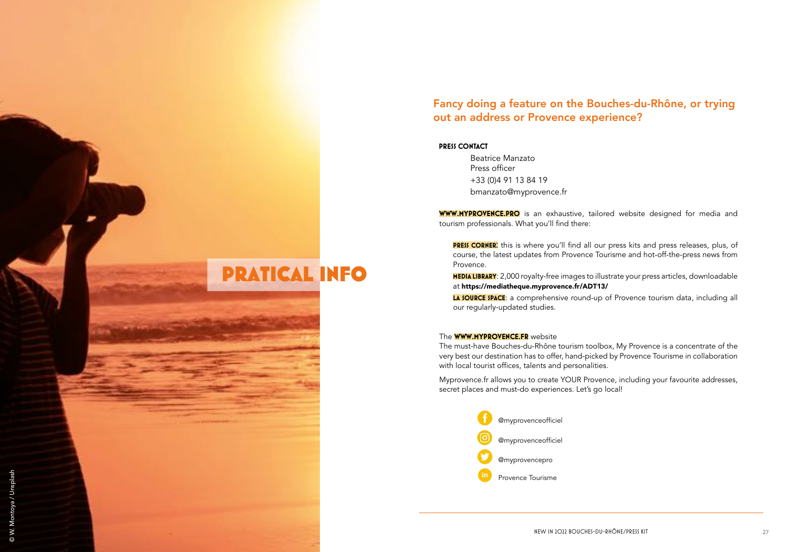## Fancy doing a feature on the Bouches-du-Rhône, or trying out an address or Provence experience?

#### **PRESS CONTACT**

**PRATICAL INFO** 

© W. Montoya / Unsplash

Beatrice Manzato Press officer +33 (0)4 91 13 84 19 bmanzato@myprovence.fr

**WWW.MYPROVENCE.PRO** is an exhaustive, tailored website designed for media and tourism professionals. What you'll find there:

PRESS CORNER: this is where you'll find all our press kits and press releases, plus, of course, the latest updates from Provence Tourisme and hot-off-the-press news from Provence.

MEDIA LIBRARY: 2,000 royalty-free images to illustrate your press articles, downloadable at https://mediatheque.myprovence.fr/ADT13/

LA SOURCE SPACE: a comprehensive round-up of Provence tourism data, including all our regularly-updated studies.

#### The **WWW.MYPROVENCE.FR** website

The must-have Bouches-du-Rhône tourism toolbox, My Provence is a concentrate of the very best our destination has to offer, hand-picked by Provence Tourisme in collaboration with local tourist offices, talents and personalities.

Myprovence.fr allows you to create YOUR Provence, including your favourite addresses, secret places and must-do experiences. Let's go local!

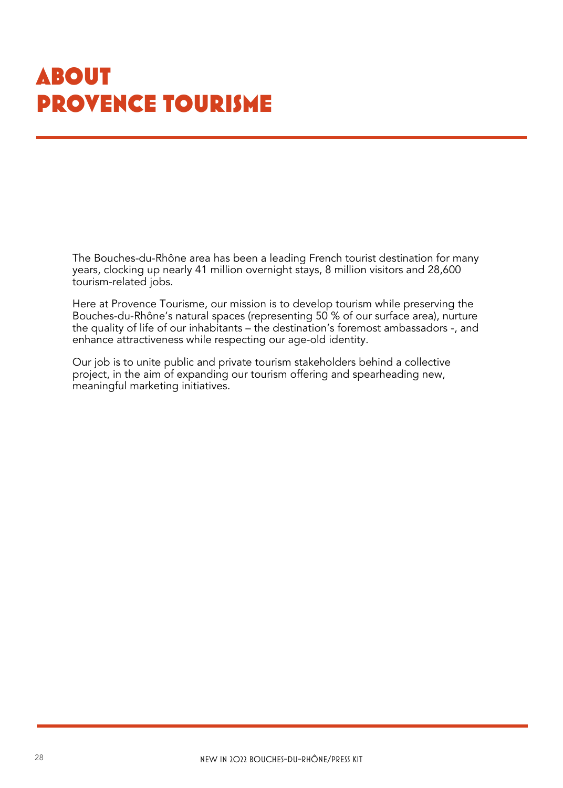## **ABOUT** PROVENCE TOURISME

The Bouches-du-Rhône area has been a leading French tourist destination for many years, clocking up nearly 41 million overnight stays, 8 million visitors and 28,600 tourism-related jobs.

Here at Provence Tourisme, our mission is to develop tourism while preserving the Bouches-du-Rhône's natural spaces (representing 50 % of our surface area), nurture the quality of life of our inhabitants – the destination's foremost ambassadors -, and enhance attractiveness while respecting our age-old identity.

Our job is to unite public and private tourism stakeholders behind a collective project, in the aim of expanding our tourism offering and spearheading new, meaningful marketing initiatives.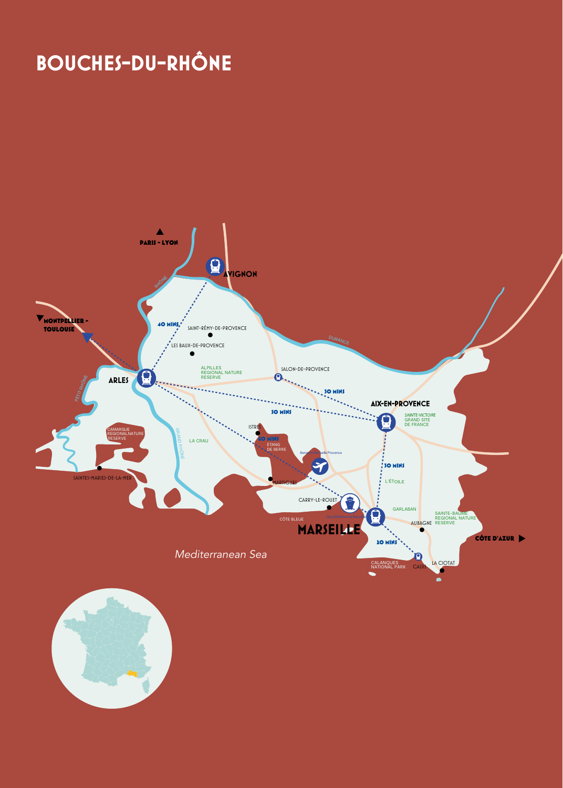## **BOUCHES-DU-RHÔNE**